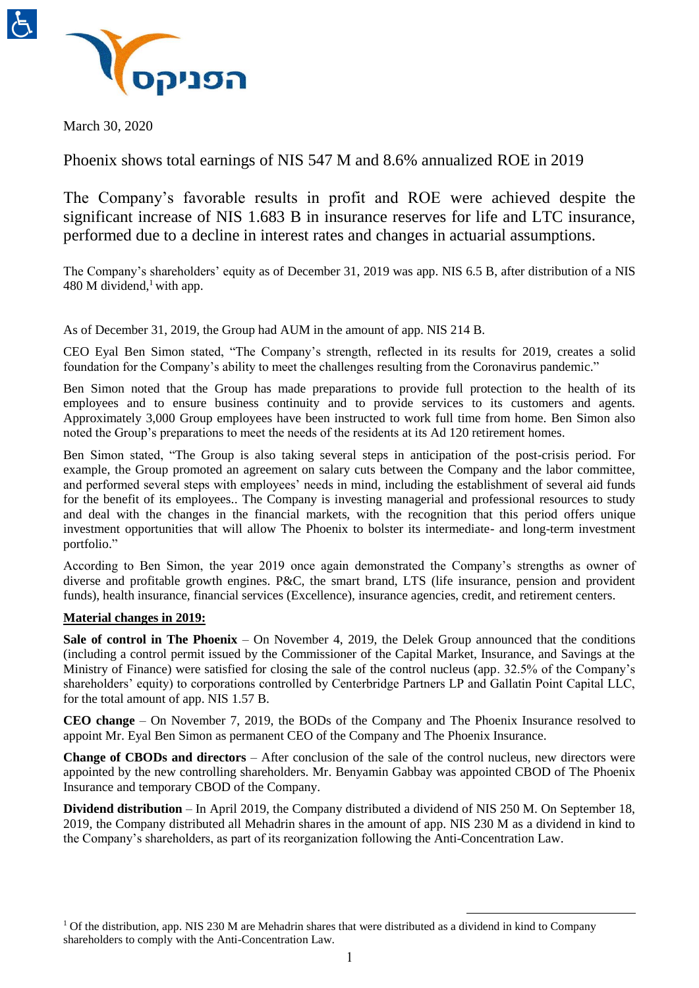



March 30, 2020

Phoenix shows total earnings of NIS 547 M and 8.6% annualized ROE in 2019

The Company's favorable results in profit and ROE were achieved despite the significant increase of NIS 1.683 B in insurance reserves for life and LTC insurance, performed due to a decline in interest rates and changes in actuarial assumptions.

The Company's shareholders' equity as of December 31, 2019 was app. NIS 6.5 B, after distribution of a NIS 480 M dividend,<sup>1</sup> with app.

As of December 31, 2019, the Group had AUM in the amount of app. NIS 214 B.

CEO Eyal Ben Simon stated, "The Company's strength, reflected in its results for 2019, creates a solid foundation for the Company's ability to meet the challenges resulting from the Coronavirus pandemic."

Ben Simon noted that the Group has made preparations to provide full protection to the health of its employees and to ensure business continuity and to provide services to its customers and agents. Approximately 3,000 Group employees have been instructed to work full time from home. Ben Simon also noted the Group's preparations to meet the needs of the residents at its Ad 120 retirement homes.

Ben Simon stated, "The Group is also taking several steps in anticipation of the post-crisis period. For example, the Group promoted an agreement on salary cuts between the Company and the labor committee, and performed several steps with employees' needs in mind, including the establishment of several aid funds for the benefit of its employees.. The Company is investing managerial and professional resources to study and deal with the changes in the financial markets, with the recognition that this period offers unique investment opportunities that will allow The Phoenix to bolster its intermediate- and long-term investment portfolio."

According to Ben Simon, the year 2019 once again demonstrated the Company's strengths as owner of diverse and profitable growth engines. P&C, the smart brand, LTS (life insurance, pension and provident funds), health insurance, financial services (Excellence), insurance agencies, credit, and retirement centers.

# **Material changes in 2019:**

**Sale of control in The Phoenix** – On November 4, 2019, the Delek Group announced that the conditions (including a control permit issued by the Commissioner of the Capital Market, Insurance, and Savings at the Ministry of Finance) were satisfied for closing the sale of the control nucleus (app. 32.5% of the Company's shareholders' equity) to corporations controlled by Centerbridge Partners LP and Gallatin Point Capital LLC, for the total amount of app. NIS 1.57 B.

**CEO change** – On November 7, 2019, the BODs of the Company and The Phoenix Insurance resolved to appoint Mr. Eyal Ben Simon as permanent CEO of the Company and The Phoenix Insurance.

**Change of CBODs and directors** – After conclusion of the sale of the control nucleus, new directors were appointed by the new controlling shareholders. Mr. Benyamin Gabbay was appointed CBOD of The Phoenix Insurance and temporary CBOD of the Company.

**Dividend distribution** – In April 2019, the Company distributed a dividend of NIS 250 M. On September 18, 2019, the Company distributed all Mehadrin shares in the amount of app. NIS 230 M as a dividend in kind to the Company's shareholders, as part of its reorganization following the Anti-Concentration Law.

<sup>&</sup>lt;sup>1</sup> Of the distribution, app. NIS 230 M are Mehadrin shares that were distributed as a dividend in kind to Company shareholders to comply with the Anti-Concentration Law.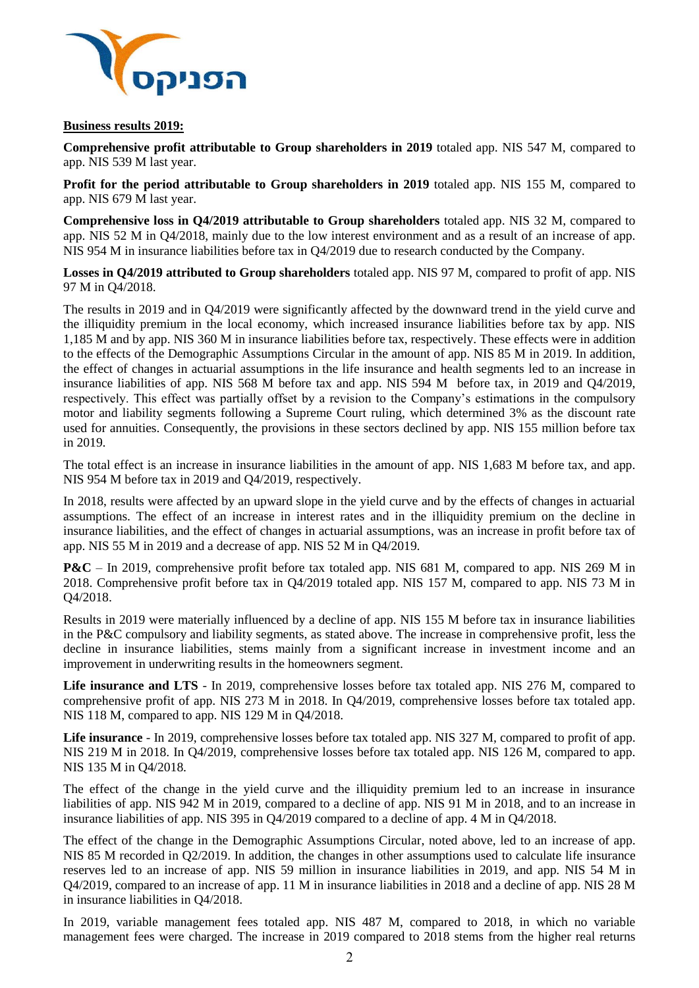

## **Business results 2019:**

**Comprehensive profit attributable to Group shareholders in 2019** totaled app. NIS 547 M, compared to app. NIS 539 M last year.

**Profit for the period attributable to Group shareholders in 2019** totaled app. NIS 155 M, compared to app. NIS 679 M last year.

**Comprehensive loss in Q4/2019 attributable to Group shareholders** totaled app. NIS 32 M, compared to app. NIS 52 M in Q4/2018, mainly due to the low interest environment and as a result of an increase of app. NIS 954 M in insurance liabilities before tax in Q4/2019 due to research conducted by the Company.

**Losses in Q4/2019 attributed to Group shareholders** totaled app. NIS 97 M, compared to profit of app. NIS 97 M in Q4/2018.

The results in 2019 and in Q4/2019 were significantly affected by the downward trend in the yield curve and the illiquidity premium in the local economy, which increased insurance liabilities before tax by app. NIS 1,185 M and by app. NIS 360 M in insurance liabilities before tax, respectively. These effects were in addition to the effects of the Demographic Assumptions Circular in the amount of app. NIS 85 M in 2019. In addition, the effect of changes in actuarial assumptions in the life insurance and health segments led to an increase in insurance liabilities of app. NIS 568 M before tax and app. NIS 594 M before tax, in 2019 and Q4/2019, respectively. This effect was partially offset by a revision to the Company's estimations in the compulsory motor and liability segments following a Supreme Court ruling, which determined 3% as the discount rate used for annuities. Consequently, the provisions in these sectors declined by app. NIS 155 million before tax in 2019.

The total effect is an increase in insurance liabilities in the amount of app. NIS 1,683 M before tax, and app. NIS 954 M before tax in 2019 and Q4/2019, respectively.

In 2018, results were affected by an upward slope in the yield curve and by the effects of changes in actuarial assumptions. The effect of an increase in interest rates and in the illiquidity premium on the decline in insurance liabilities, and the effect of changes in actuarial assumptions, was an increase in profit before tax of app. NIS 55 M in 2019 and a decrease of app. NIS 52 M in Q4/2019.

**P&C** – In 2019, comprehensive profit before tax totaled app. NIS 681 M, compared to app. NIS 269 M in 2018. Comprehensive profit before tax in Q4/2019 totaled app. NIS 157 M, compared to app. NIS 73 M in Q4/2018.

Results in 2019 were materially influenced by a decline of app. NIS 155 M before tax in insurance liabilities in the P&C compulsory and liability segments, as stated above. The increase in comprehensive profit, less the decline in insurance liabilities, stems mainly from a significant increase in investment income and an improvement in underwriting results in the homeowners segment.

**Life insurance and LTS** - In 2019, comprehensive losses before tax totaled app. NIS 276 M, compared to comprehensive profit of app. NIS 273 M in 2018. In Q4/2019, comprehensive losses before tax totaled app. NIS 118 M, compared to app. NIS 129 M in Q4/2018.

**Life insurance** - In 2019, comprehensive losses before tax totaled app. NIS 327 M, compared to profit of app. NIS 219 M in 2018. In Q4/2019, comprehensive losses before tax totaled app. NIS 126 M, compared to app. NIS 135 M in Q4/2018.

The effect of the change in the yield curve and the illiquidity premium led to an increase in insurance liabilities of app. NIS 942 M in 2019, compared to a decline of app. NIS 91 M in 2018, and to an increase in insurance liabilities of app. NIS 395 in Q4/2019 compared to a decline of app. 4 M in Q4/2018.

The effect of the change in the Demographic Assumptions Circular, noted above, led to an increase of app. NIS 85 M recorded in Q2/2019. In addition, the changes in other assumptions used to calculate life insurance reserves led to an increase of app. NIS 59 million in insurance liabilities in 2019, and app. NIS 54 M in Q4/2019, compared to an increase of app. 11 M in insurance liabilities in 2018 and a decline of app. NIS 28 M in insurance liabilities in Q4/2018.

In 2019, variable management fees totaled app. NIS 487 M, compared to 2018, in which no variable management fees were charged. The increase in 2019 compared to 2018 stems from the higher real returns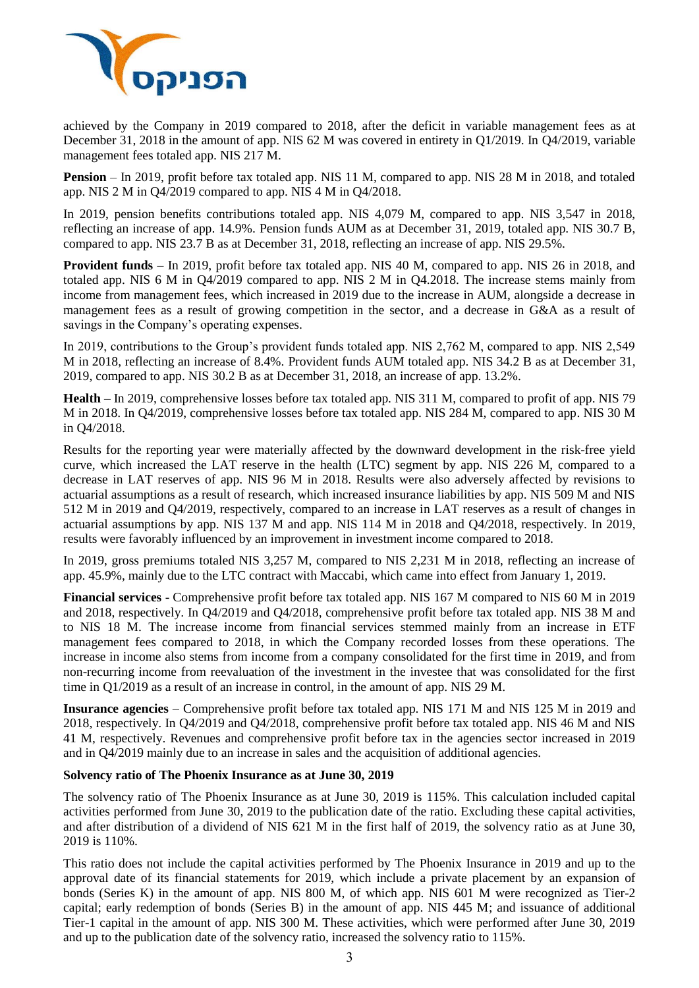

achieved by the Company in 2019 compared to 2018, after the deficit in variable management fees as at December 31, 2018 in the amount of app. NIS 62 M was covered in entirety in Q1/2019. In Q4/2019, variable management fees totaled app. NIS 217 M.

**Pension** – In 2019, profit before tax totaled app. NIS 11 M, compared to app. NIS 28 M in 2018, and totaled app. NIS 2 M in Q4/2019 compared to app. NIS 4 M in Q4/2018.

In 2019, pension benefits contributions totaled app. NIS 4,079 M, compared to app. NIS 3,547 in 2018, reflecting an increase of app. 14.9%. Pension funds AUM as at December 31, 2019, totaled app. NIS 30.7 B, compared to app. NIS 23.7 B as at December 31, 2018, reflecting an increase of app. NIS 29.5%.

**Provident funds** – In 2019, profit before tax totaled app. NIS 40 M, compared to app. NIS 26 in 2018, and totaled app. NIS 6 M in Q4/2019 compared to app. NIS 2 M in Q4.2018. The increase stems mainly from income from management fees, which increased in 2019 due to the increase in AUM, alongside a decrease in management fees as a result of growing competition in the sector, and a decrease in G&A as a result of savings in the Company's operating expenses.

In 2019, contributions to the Group's provident funds totaled app. NIS 2,762 M, compared to app. NIS 2,549 M in 2018, reflecting an increase of 8.4%. Provident funds AUM totaled app. NIS 34.2 B as at December 31, 2019, compared to app. NIS 30.2 B as at December 31, 2018, an increase of app. 13.2%.

**Health** – In 2019, comprehensive losses before tax totaled app. NIS 311 M, compared to profit of app. NIS 79 M in 2018. In Q4/2019, comprehensive losses before tax totaled app. NIS 284 M, compared to app. NIS 30 M in Q4/2018.

Results for the reporting year were materially affected by the downward development in the risk-free yield curve, which increased the LAT reserve in the health (LTC) segment by app. NIS 226 M, compared to a decrease in LAT reserves of app. NIS 96 M in 2018. Results were also adversely affected by revisions to actuarial assumptions as a result of research, which increased insurance liabilities by app. NIS 509 M and NIS 512 M in 2019 and Q4/2019, respectively, compared to an increase in LAT reserves as a result of changes in actuarial assumptions by app. NIS 137 M and app. NIS 114 M in 2018 and Q4/2018, respectively. In 2019, results were favorably influenced by an improvement in investment income compared to 2018.

In 2019, gross premiums totaled NIS 3,257 M, compared to NIS 2,231 M in 2018, reflecting an increase of app. 45.9%, mainly due to the LTC contract with Maccabi, which came into effect from January 1, 2019.

**Financial services** - Comprehensive profit before tax totaled app. NIS 167 M compared to NIS 60 M in 2019 and 2018, respectively. In Q4/2019 and Q4/2018, comprehensive profit before tax totaled app. NIS 38 M and to NIS 18 M. The increase income from financial services stemmed mainly from an increase in ETF management fees compared to 2018, in which the Company recorded losses from these operations. The increase in income also stems from income from a company consolidated for the first time in 2019, and from non-recurring income from reevaluation of the investment in the investee that was consolidated for the first time in Q1/2019 as a result of an increase in control, in the amount of app. NIS 29 M.

**Insurance agencies** – Comprehensive profit before tax totaled app. NIS 171 M and NIS 125 M in 2019 and 2018, respectively. In Q4/2019 and Q4/2018, comprehensive profit before tax totaled app. NIS 46 M and NIS 41 M, respectively. Revenues and comprehensive profit before tax in the agencies sector increased in 2019 and in Q4/2019 mainly due to an increase in sales and the acquisition of additional agencies.

## **Solvency ratio of The Phoenix Insurance as at June 30, 2019**

The solvency ratio of The Phoenix Insurance as at June 30, 2019 is 115%. This calculation included capital activities performed from June 30, 2019 to the publication date of the ratio. Excluding these capital activities, and after distribution of a dividend of NIS 621 M in the first half of 2019, the solvency ratio as at June 30, 2019 is 110%.

This ratio does not include the capital activities performed by The Phoenix Insurance in 2019 and up to the approval date of its financial statements for 2019, which include a private placement by an expansion of bonds (Series K) in the amount of app. NIS 800 M, of which app. NIS 601 M were recognized as Tier-2 capital; early redemption of bonds (Series B) in the amount of app. NIS 445 M; and issuance of additional Tier-1 capital in the amount of app. NIS 300 M. These activities, which were performed after June 30, 2019 and up to the publication date of the solvency ratio, increased the solvency ratio to 115%.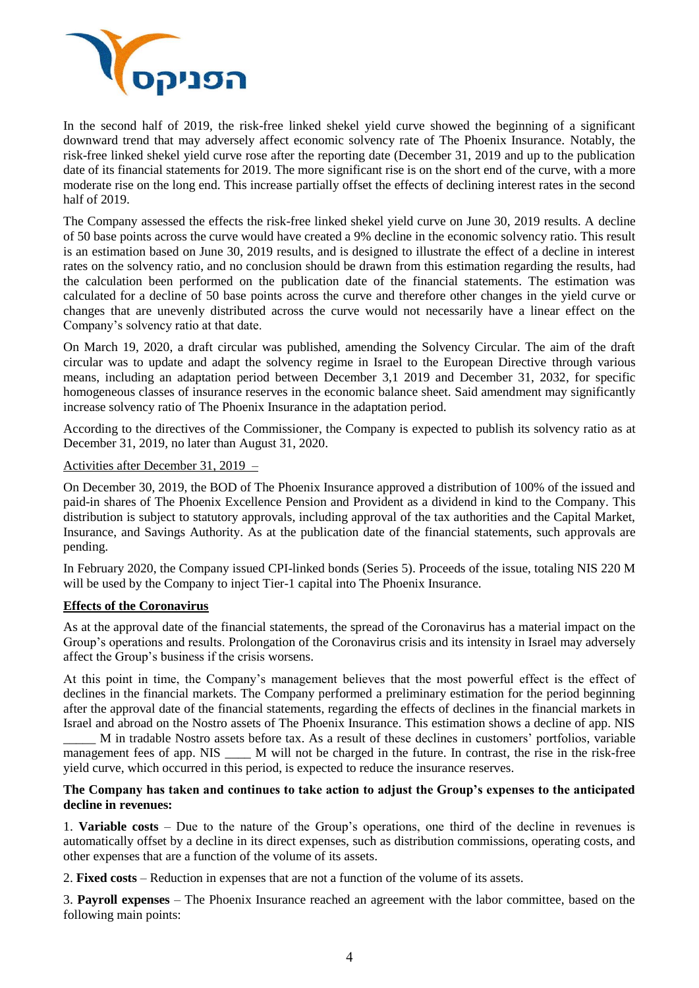

In the second half of 2019, the risk-free linked shekel yield curve showed the beginning of a significant downward trend that may adversely affect economic solvency rate of The Phoenix Insurance. Notably, the risk-free linked shekel yield curve rose after the reporting date (December 31, 2019 and up to the publication date of its financial statements for 2019. The more significant rise is on the short end of the curve, with a more moderate rise on the long end. This increase partially offset the effects of declining interest rates in the second half of 2019.

The Company assessed the effects the risk-free linked shekel yield curve on June 30, 2019 results. A decline of 50 base points across the curve would have created a 9% decline in the economic solvency ratio. This result is an estimation based on June 30, 2019 results, and is designed to illustrate the effect of a decline in interest rates on the solvency ratio, and no conclusion should be drawn from this estimation regarding the results, had the calculation been performed on the publication date of the financial statements. The estimation was calculated for a decline of 50 base points across the curve and therefore other changes in the yield curve or changes that are unevenly distributed across the curve would not necessarily have a linear effect on the Company's solvency ratio at that date.

On March 19, 2020, a draft circular was published, amending the Solvency Circular. The aim of the draft circular was to update and adapt the solvency regime in Israel to the European Directive through various means, including an adaptation period between December 3,1 2019 and December 31, 2032, for specific homogeneous classes of insurance reserves in the economic balance sheet. Said amendment may significantly increase solvency ratio of The Phoenix Insurance in the adaptation period.

According to the directives of the Commissioner, the Company is expected to publish its solvency ratio as at December 31, 2019, no later than August 31, 2020.

## Activities after December 31, 2019 –

On December 30, 2019, the BOD of The Phoenix Insurance approved a distribution of 100% of the issued and paid-in shares of The Phoenix Excellence Pension and Provident as a dividend in kind to the Company. This distribution is subject to statutory approvals, including approval of the tax authorities and the Capital Market, Insurance, and Savings Authority. As at the publication date of the financial statements, such approvals are pending.

In February 2020, the Company issued CPI-linked bonds (Series 5). Proceeds of the issue, totaling NIS 220 M will be used by the Company to inject Tier-1 capital into The Phoenix Insurance.

## **Effects of the Coronavirus**

As at the approval date of the financial statements, the spread of the Coronavirus has a material impact on the Group's operations and results. Prolongation of the Coronavirus crisis and its intensity in Israel may adversely affect the Group's business if the crisis worsens.

At this point in time, the Company's management believes that the most powerful effect is the effect of declines in the financial markets. The Company performed a preliminary estimation for the period beginning after the approval date of the financial statements, regarding the effects of declines in the financial markets in Israel and abroad on the Nostro assets of The Phoenix Insurance. This estimation shows a decline of app. NIS

\_\_\_\_\_ M in tradable Nostro assets before tax. As a result of these declines in customers' portfolios, variable management fees of app. NIS M will not be charged in the future. In contrast, the rise in the risk-free yield curve, which occurred in this period, is expected to reduce the insurance reserves.

## **The Company has taken and continues to take action to adjust the Group's expenses to the anticipated decline in revenues:**

1. **Variable costs** – Due to the nature of the Group's operations, one third of the decline in revenues is automatically offset by a decline in its direct expenses, such as distribution commissions, operating costs, and other expenses that are a function of the volume of its assets.

2. **Fixed costs** – Reduction in expenses that are not a function of the volume of its assets.

3. **Payroll expenses** – The Phoenix Insurance reached an agreement with the labor committee, based on the following main points: